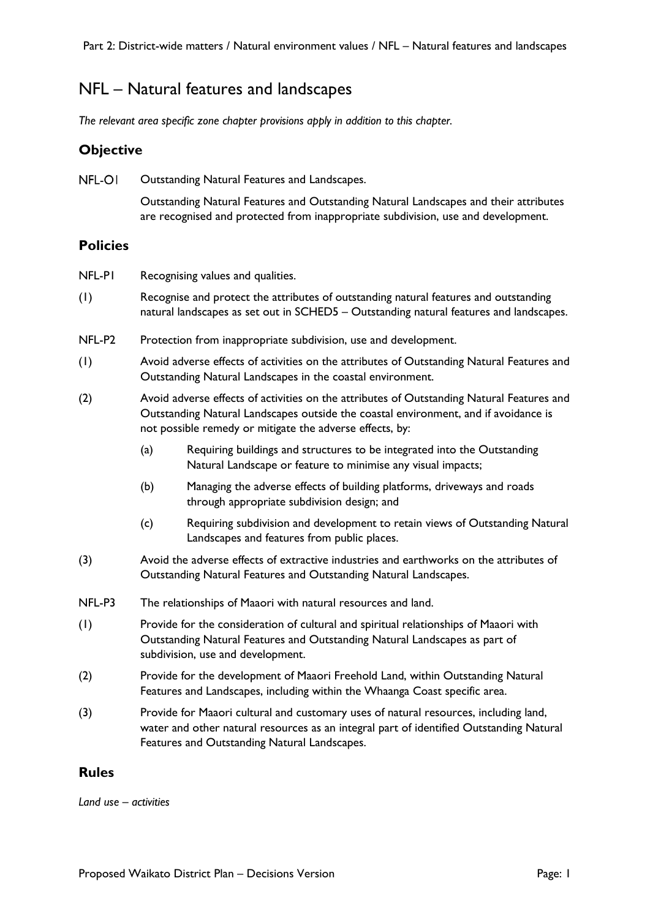# NFL – Natural features and landscapes

*The relevant area specific zone chapter provisions apply in addition to this chapter.*

## **Objective**

NFL-OI Outstanding Natural Features and Landscapes.

> Outstanding Natural Features and Outstanding Natural Landscapes and their attributes are recognised and protected from inappropriate subdivision, use and development.

### **Policies**

NFL-P1 Recognising values and qualities.

- (1) Recognise and protect the attributes of outstanding natural features and outstanding natural landscapes as set out in SCHED5 – Outstanding natural features and landscapes.
- NFL-P2 Protection from inappropriate subdivision, use and development.
- (1) Avoid adverse effects of activities on the attributes of Outstanding Natural Features and Outstanding Natural Landscapes in the coastal environment.
- (2) Avoid adverse effects of activities on the attributes of Outstanding Natural Features and Outstanding Natural Landscapes outside the coastal environment, and if avoidance is not possible remedy or mitigate the adverse effects, by:
	- (a) Requiring buildings and structures to be integrated into the Outstanding Natural Landscape or feature to minimise any visual impacts;
	- (b) Managing the adverse effects of building platforms, driveways and roads through appropriate subdivision design; and
	- (c) Requiring subdivision and development to retain views of Outstanding Natural Landscapes and features from public places.
- (3) Avoid the adverse effects of extractive industries and earthworks on the attributes of Outstanding Natural Features and Outstanding Natural Landscapes.
- NFL-P3 The relationships of Maaori with natural resources and land.
- (1) Provide for the consideration of cultural and spiritual relationships of Maaori with Outstanding Natural Features and Outstanding Natural Landscapes as part of subdivision, use and development.
- (2) Provide for the development of Maaori Freehold Land, within Outstanding Natural Features and Landscapes, including within the Whaanga Coast specific area.
- (3) Provide for Maaori cultural and customary uses of natural resources, including land, water and other natural resources as an integral part of identified Outstanding Natural Features and Outstanding Natural Landscapes.

### **Rules**

*Land use – activities*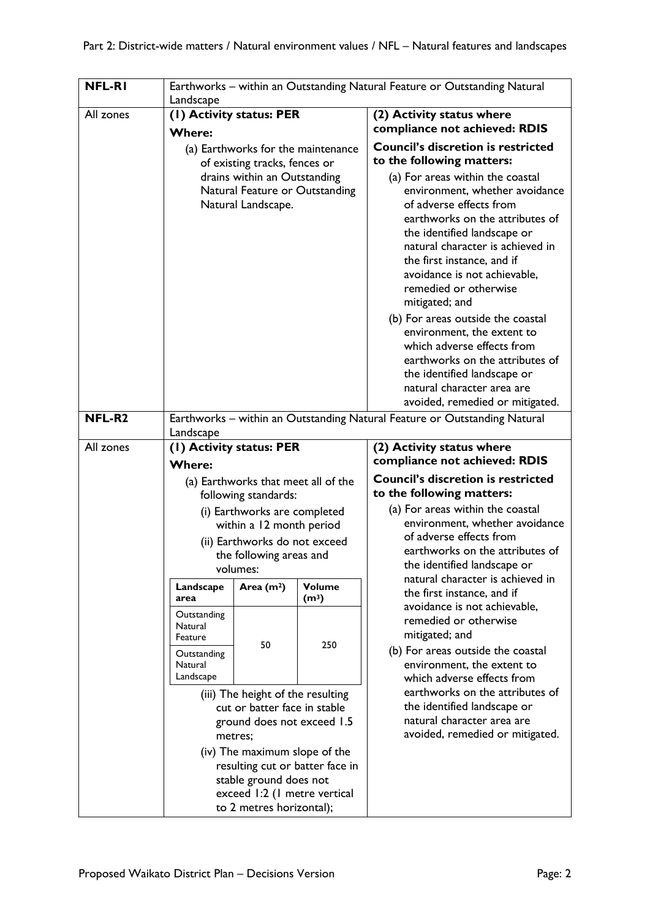| <b>NFL-RI</b> | Earthworks - within an Outstanding Natural Feature or Outstanding Natural<br>Landscape                                                      |                                                                                      |                   |                                                                                                                                                                                                                                                                                                                                                   |  |  |  |  |
|---------------|---------------------------------------------------------------------------------------------------------------------------------------------|--------------------------------------------------------------------------------------|-------------------|---------------------------------------------------------------------------------------------------------------------------------------------------------------------------------------------------------------------------------------------------------------------------------------------------------------------------------------------------|--|--|--|--|
| All zones     | (I) Activity status: PER                                                                                                                    |                                                                                      |                   | (2) Activity status where                                                                                                                                                                                                                                                                                                                         |  |  |  |  |
|               | <b>Where:</b>                                                                                                                               |                                                                                      |                   | compliance not achieved: RDIS                                                                                                                                                                                                                                                                                                                     |  |  |  |  |
|               | (a) Earthworks for the maintenance<br>of existing tracks, fences or                                                                         |                                                                                      |                   | <b>Council's discretion is restricted</b><br>to the following matters:                                                                                                                                                                                                                                                                            |  |  |  |  |
|               |                                                                                                                                             | drains within an Outstanding<br>Natural Feature or Outstanding<br>Natural Landscape. |                   | (a) For areas within the coastal<br>environment, whether avoidance<br>of adverse effects from<br>earthworks on the attributes of<br>the identified landscape or<br>natural character is achieved in<br>the first instance, and if<br>avoidance is not achievable,<br>remedied or otherwise<br>mitigated; and<br>(b) For areas outside the coastal |  |  |  |  |
|               |                                                                                                                                             |                                                                                      |                   | environment, the extent to<br>which adverse effects from<br>earthworks on the attributes of<br>the identified landscape or<br>natural character area are<br>avoided, remedied or mitigated.                                                                                                                                                       |  |  |  |  |
| NFL-R2        | Earthworks - within an Outstanding Natural Feature or Outstanding Natural<br>Landscape                                                      |                                                                                      |                   |                                                                                                                                                                                                                                                                                                                                                   |  |  |  |  |
| All zones     | (I) Activity status: PER                                                                                                                    |                                                                                      |                   | (2) Activity status where                                                                                                                                                                                                                                                                                                                         |  |  |  |  |
|               | <b>Where:</b>                                                                                                                               |                                                                                      |                   | compliance not achieved: RDIS                                                                                                                                                                                                                                                                                                                     |  |  |  |  |
|               |                                                                                                                                             | (a) Earthworks that meet all of the                                                  |                   | <b>Council's discretion is restricted</b>                                                                                                                                                                                                                                                                                                         |  |  |  |  |
|               |                                                                                                                                             | following standards:                                                                 |                   | to the following matters:                                                                                                                                                                                                                                                                                                                         |  |  |  |  |
|               |                                                                                                                                             | (i) Earthworks are completed                                                         |                   | (a) For areas within the coastal<br>environment, whether avoidance                                                                                                                                                                                                                                                                                |  |  |  |  |
|               | within a 12 month period<br>(ii) Earthworks do not exceed<br>the following areas and<br>volumes:                                            |                                                                                      |                   | of adverse effects from<br>earthworks on the attributes of<br>the identified landscape or                                                                                                                                                                                                                                                         |  |  |  |  |
|               |                                                                                                                                             |                                                                                      |                   |                                                                                                                                                                                                                                                                                                                                                   |  |  |  |  |
|               |                                                                                                                                             |                                                                                      |                   |                                                                                                                                                                                                                                                                                                                                                   |  |  |  |  |
|               | Landscape                                                                                                                                   | Area $(m2)$                                                                          | <b>Volume</b>     | natural character is achieved in                                                                                                                                                                                                                                                                                                                  |  |  |  |  |
|               | area                                                                                                                                        |                                                                                      | (m <sup>3</sup> ) |                                                                                                                                                                                                                                                                                                                                                   |  |  |  |  |
|               | Natural<br>Feature                                                                                                                          |                                                                                      |                   | remedied or otherwise<br>mitigated; and                                                                                                                                                                                                                                                                                                           |  |  |  |  |
|               | Outstanding<br>Natural<br>Landscape                                                                                                         |                                                                                      |                   | (b) For areas outside the coastal<br>environment, the extent to<br>which adverse effects from                                                                                                                                                                                                                                                     |  |  |  |  |
|               | (iii) The height of the resulting<br>cut or batter face in stable<br>ground does not exceed 1.5<br>metres;<br>(iv) The maximum slope of the |                                                                                      |                   | earthworks on the attributes of<br>the identified landscape or<br>natural character area are<br>avoided, remedied or mitigated.                                                                                                                                                                                                                   |  |  |  |  |
|               |                                                                                                                                             |                                                                                      |                   |                                                                                                                                                                                                                                                                                                                                                   |  |  |  |  |
|               | resulting cut or batter face in                                                                                                             |                                                                                      |                   |                                                                                                                                                                                                                                                                                                                                                   |  |  |  |  |
|               | stable ground does not<br>exceed 1:2 (1 metre vertical                                                                                      |                                                                                      |                   |                                                                                                                                                                                                                                                                                                                                                   |  |  |  |  |
|               | to 2 metres horizontal);                                                                                                                    |                                                                                      |                   |                                                                                                                                                                                                                                                                                                                                                   |  |  |  |  |
|               | Outstanding                                                                                                                                 | 50                                                                                   | 250               | the first instance, and if<br>avoidance is not achievable,                                                                                                                                                                                                                                                                                        |  |  |  |  |